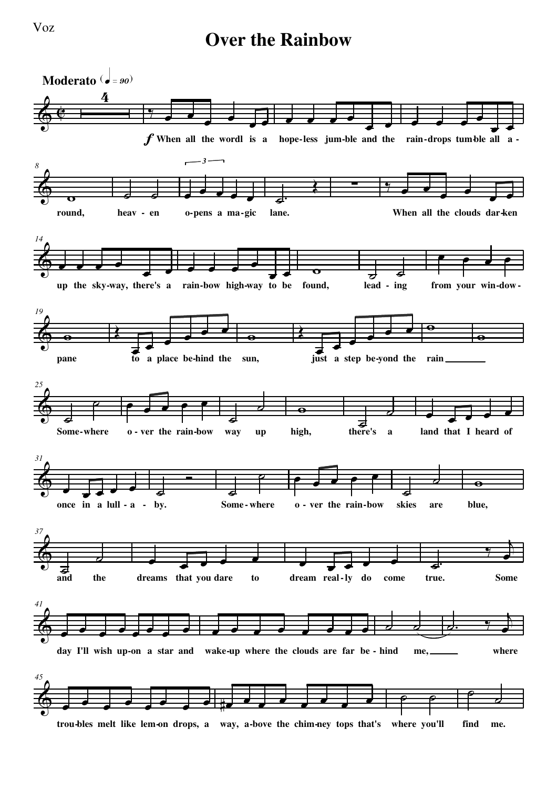## **Over the Rainbow**